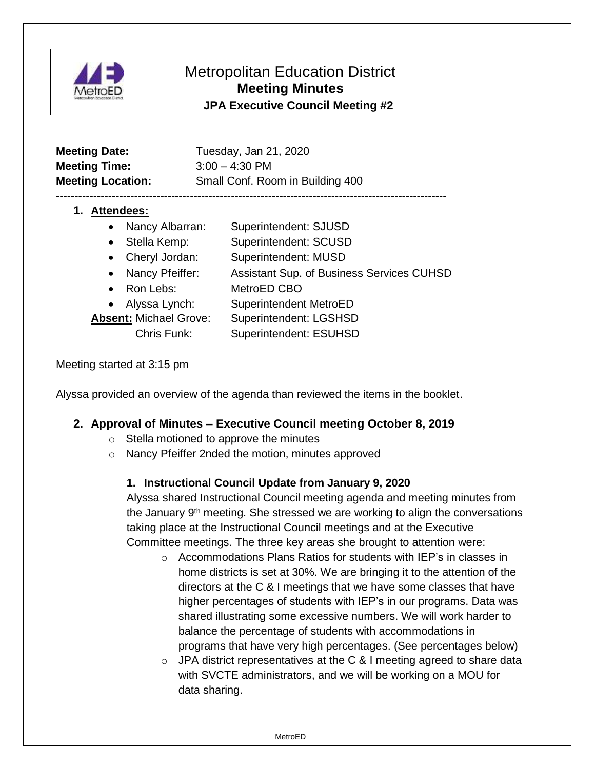

# Metropolitan Education District **Meeting Minutes JPA Executive Council Meeting #2**

| <b>Meeting Date:</b><br><b>Meeting Time:</b><br><b>Meeting Location:</b>                                                                                                                                           | Tuesday, Jan 21, 2020<br>$3:00 - 4:30$ PM<br>Small Conf. Room in Building 400                                                                                                                 |
|--------------------------------------------------------------------------------------------------------------------------------------------------------------------------------------------------------------------|-----------------------------------------------------------------------------------------------------------------------------------------------------------------------------------------------|
| <b>Attendees:</b><br>1.<br>Nancy Albarran:<br>Stella Kemp:<br>$\bullet$<br>Cheryl Jordan:<br>$\bullet$<br>Nancy Pfeiffer:<br>$\bullet$<br>Ron Lebs:<br>$\bullet$<br>Alyssa Lynch:<br><b>Absent: Michael Grove:</b> | Superintendent: SJUSD<br>Superintendent: SCUSD<br>Superintendent: MUSD<br><b>Assistant Sup. of Business Services CUHSD</b><br>MetroED CBO<br>Superintendent MetroED<br>Superintendent: LGSHSD |
| Chris Funk:                                                                                                                                                                                                        | <b>Superintendent: ESUHSD</b>                                                                                                                                                                 |

Meeting started at 3:15 pm

Alyssa provided an overview of the agenda than reviewed the items in the booklet.

## **2. Approval of Minutes – Executive Council meeting October 8, 2019**

- o Stella motioned to approve the minutes
- o Nancy Pfeiffer 2nded the motion, minutes approved

#### **1. Instructional Council Update from January 9, 2020**

Alyssa shared Instructional Council meeting agenda and meeting minutes from the January 9th meeting. She stressed we are working to align the conversations taking place at the Instructional Council meetings and at the Executive Committee meetings. The three key areas she brought to attention were:

- $\circ$  Accommodations Plans Ratios for students with IEP's in classes in home districts is set at 30%. We are bringing it to the attention of the directors at the C & I meetings that we have some classes that have higher percentages of students with IEP's in our programs. Data was shared illustrating some excessive numbers. We will work harder to balance the percentage of students with accommodations in programs that have very high percentages. (See percentages below)
- $\circ$  JPA district representatives at the C & I meeting agreed to share data with SVCTE administrators, and we will be working on a MOU for data sharing.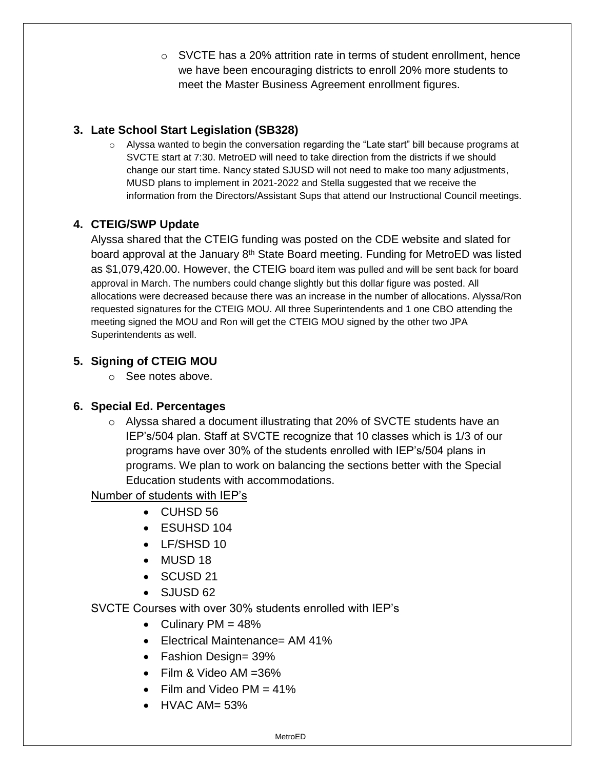o SVCTE has a 20% attrition rate in terms of student enrollment, hence we have been encouraging districts to enroll 20% more students to meet the Master Business Agreement enrollment figures.

## **3. Late School Start Legislation (SB328)**

o Alyssa wanted to begin the conversation regarding the "Late start" bill because programs at SVCTE start at 7:30. MetroED will need to take direction from the districts if we should change our start time. Nancy stated SJUSD will not need to make too many adjustments, MUSD plans to implement in 2021-2022 and Stella suggested that we receive the information from the Directors/Assistant Sups that attend our Instructional Council meetings.

# **4. CTEIG/SWP Update**

Alyssa shared that the CTEIG funding was posted on the CDE website and slated for board approval at the January 8<sup>th</sup> State Board meeting. Funding for MetroED was listed as \$1,079,420.00. However, the CTEIG board item was pulled and will be sent back for board approval in March. The numbers could change slightly but this dollar figure was posted. All allocations were decreased because there was an increase in the number of allocations. Alyssa/Ron requested signatures for the CTEIG MOU. All three Superintendents and 1 one CBO attending the meeting signed the MOU and Ron will get the CTEIG MOU signed by the other two JPA Superintendents as well.

## **5. Signing of CTEIG MOU**

o See notes above.

## **6. Special Ed. Percentages**

o Alyssa shared a document illustrating that 20% of SVCTE students have an IEP's/504 plan. Staff at SVCTE recognize that 10 classes which is 1/3 of our programs have over 30% of the students enrolled with IEP's/504 plans in programs. We plan to work on balancing the sections better with the Special Education students with accommodations.

## Number of students with IEP's

- CUHSD 56
- ESUHSD 104
- LF/SHSD 10
- MUSD 18
- SCUSD 21
- $\bullet$  S.IIJSD 62

SVCTE Courses with over 30% students enrolled with IEP's

- Culinary  $PM = 48\%$
- Electrical Maintenance= AM 41%
- Fashion Design= 39%
- Film & Video AM =36%
- Film and Video  $PM = 41\%$
- $\bullet$  HVAC AM= 53%